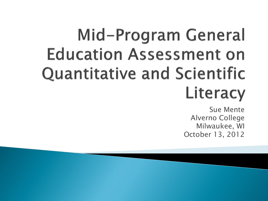# Mid-Program General **Education Assessment on Quantitative and Scientific** Literacy

Sue Mente Alverno College Milwaukee, WI October 13, 2012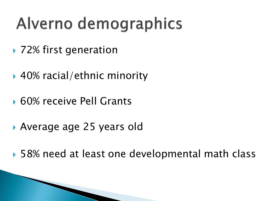# Alverno demographics

- ▶ 72% first generation
- 40% racial/ethnic minority
- ▶ 60% receive Pell Grants
- Average age 25 years old
- ▶ 58% need at least one developmental math class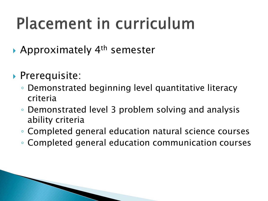# **Placement in curriculum**

- ▶ Approximately 4<sup>th</sup> semester
- **Prerequisite:** 
	- Demonstrated beginning level quantitative literacy criteria
	- Demonstrated level 3 problem solving and analysis ability criteria
	- Completed general education natural science courses
	- Completed general education communication courses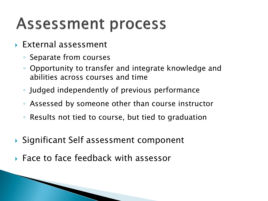#### **Assessment process**

- External assessment
	- Separate from courses
	- Opportunity to transfer and integrate knowledge and abilities across courses and time
	- Judged independently of previous performance
	- Assessed by someone other than course instructor
	- Results not tied to course, but tied to graduation
- ▶ Significant Self assessment component
- ▶ Face to face feedback with assessor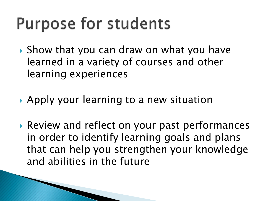## **Purpose for students**

- ▶ Show that you can draw on what you have learned in a variety of courses and other learning experiences
- Apply your learning to a new situation
- ▶ Review and reflect on your past performances in order to identify learning goals and plans that can help you strengthen your knowledge and abilities in the future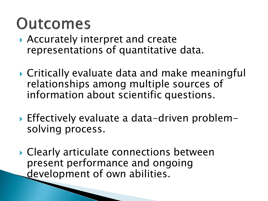#### Outcomes

- ▶ Accurately interpret and create representations of quantitative data.
- Critically evaluate data and make meaningful relationships among multiple sources of information about scientific questions.
- Effectively evaluate a data-driven problemsolving process.
- ▶ Clearly articulate connections between present performance and ongoing development of own abilities.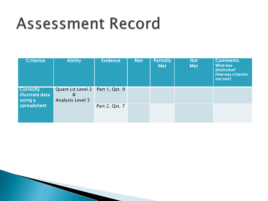#### **Assessment Record**

| <b>Criterion</b>                                              | <b>Ability</b>                             | <b>Evidence</b> | Met | <b>Partially</b><br><b>Met</b> | <b>Not</b><br><b>Met</b> | <b>Comments</b><br>What was<br>distinctive?<br><b>How was criterion</b><br>not met? |
|---------------------------------------------------------------|--------------------------------------------|-----------------|-----|--------------------------------|--------------------------|-------------------------------------------------------------------------------------|
| <b>Correctly</b><br>illustrate data<br>using a<br>spreadsheet | Quant Lit Level 2<br>&<br>Analysis Level 3 | Part 1, Qst. 9  |     |                                |                          |                                                                                     |
|                                                               |                                            | Part 2, Qst. 7  |     |                                |                          |                                                                                     |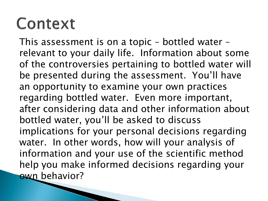## Context

This assessment is on a topic – bottled water – relevant to your daily life. Information about some of the controversies pertaining to bottled water will be presented during the assessment. You'll have an opportunity to examine your own practices regarding bottled water. Even more important, after considering data and other information about bottled water, you'll be asked to discuss implications for your personal decisions regarding water. In other words, how will your analysis of information and your use of the scientific method help you make informed decisions regarding your own behavior?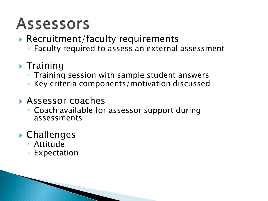#### **Assessors**

- ▶ Recruitment/faculty requirements
	- Faculty required to assess an external assessment
- $\blacktriangleright$  Training
	- Training session with sample student answers
	- Key criteria components/motivation discussed
- Assessor coaches
	- Coach available for assessor support during assessments

#### ▶ Challenges

- Attitude
- Expectation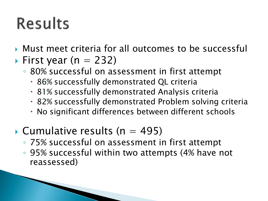## **Results**

- Must meet criteria for all outcomes to be successful
- $\blacktriangleright$  First year (n = 232)
	- 80% successful on assessment in first attempt
		- 86% successfully demonstrated QL criteria
		- 81% successfully demonstrated Analysis criteria
		- 82% successfully demonstrated Problem solving criteria
		- No significant differences between different schools
- Cumulative results ( $n = 495$ )
	- 75% successful on assessment in first attempt
	- 95% successful within two attempts (4% have not reassessed)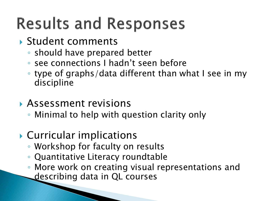# **Results and Responses**

- Student comments
	- should have prepared better
	- see connections I hadn't seen before
	- type of graphs/data different than what I see in my discipline
- Assessment revisions
	- Minimal to help with question clarity only
- Curricular implications
	- Workshop for faculty on results
	- Quantitative Literacy roundtable
	- More work on creating visual representations and describing data in QL courses